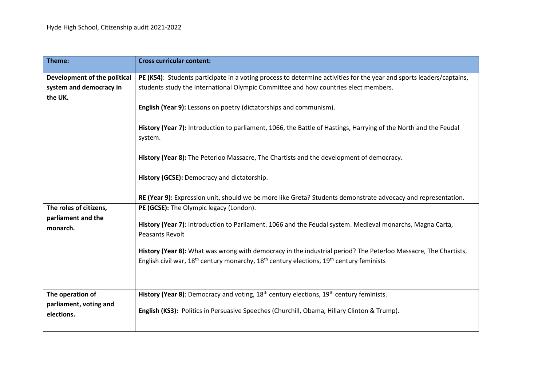| Theme:                                                  | <b>Cross curricular content:</b>                                                                                                                                                                                           |
|---------------------------------------------------------|----------------------------------------------------------------------------------------------------------------------------------------------------------------------------------------------------------------------------|
| Development of the political<br>system and democracy in | PE (KS4): Students participate in a voting process to determine activities for the year and sports leaders/captains,<br>students study the International Olympic Committee and how countries elect members.                |
| the UK.                                                 | English (Year 9): Lessons on poetry (dictatorships and communism).                                                                                                                                                         |
|                                                         | History (Year 7): Introduction to parliament, 1066, the Battle of Hastings, Harrying of the North and the Feudal<br>system.                                                                                                |
|                                                         | History (Year 8): The Peterloo Massacre, The Chartists and the development of democracy.                                                                                                                                   |
|                                                         | History (GCSE): Democracy and dictatorship.                                                                                                                                                                                |
|                                                         | RE (Year 9): Expression unit, should we be more like Greta? Students demonstrate advocacy and representation.                                                                                                              |
| The roles of citizens,                                  | PE (GCSE): The Olympic legacy (London).                                                                                                                                                                                    |
| parliament and the<br>monarch.                          | History (Year 7): Introduction to Parliament. 1066 and the Feudal system. Medieval monarchs, Magna Carta,<br><b>Peasants Revolt</b>                                                                                        |
|                                                         | History (Year 8): What was wrong with democracy in the industrial period? The Peterloo Massacre, The Chartists,<br>English civil war, $18^{th}$ century monarchy, $18^{th}$ century elections, $19^{th}$ century feminists |
|                                                         |                                                                                                                                                                                                                            |
| The operation of                                        | History (Year 8): Democracy and voting, 18 <sup>th</sup> century elections, 19 <sup>th</sup> century feminists.                                                                                                            |
| parliament, voting and<br>elections.                    | English (KS3): Politics in Persuasive Speeches (Churchill, Obama, Hillary Clinton & Trump).                                                                                                                                |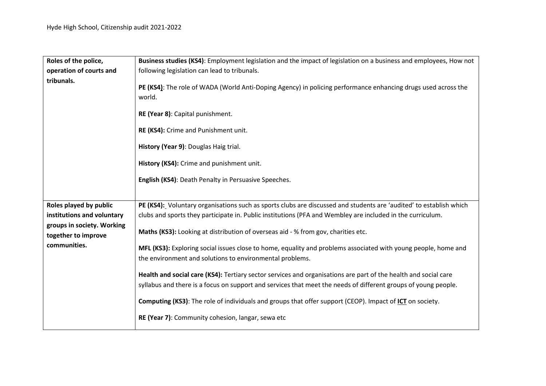| Roles of the police,       | Business studies (KS4): Employment legislation and the impact of legislation on a business and employees, How not                                                                                                                 |
|----------------------------|-----------------------------------------------------------------------------------------------------------------------------------------------------------------------------------------------------------------------------------|
| operation of courts and    | following legislation can lead to tribunals.                                                                                                                                                                                      |
| tribunals.                 | PE (KS4): The role of WADA (World Anti-Doping Agency) in policing performance enhancing drugs used across the<br>world.                                                                                                           |
|                            | RE (Year 8): Capital punishment.                                                                                                                                                                                                  |
|                            | RE (KS4): Crime and Punishment unit.                                                                                                                                                                                              |
|                            | History (Year 9): Douglas Haig trial.                                                                                                                                                                                             |
|                            | History (KS4): Crime and punishment unit.                                                                                                                                                                                         |
|                            | English (KS4): Death Penalty in Persuasive Speeches.                                                                                                                                                                              |
|                            |                                                                                                                                                                                                                                   |
| Roles played by public     | PE (KS4): Voluntary organisations such as sports clubs are discussed and students are 'audited' to establish which                                                                                                                |
| institutions and voluntary | clubs and sports they participate in. Public institutions (PFA and Wembley are included in the curriculum.                                                                                                                        |
| groups in society. Working |                                                                                                                                                                                                                                   |
| together to improve        | Maths (KS3): Looking at distribution of overseas aid - % from gov, charities etc.                                                                                                                                                 |
| communities.               | MFL (KS3): Exploring social issues close to home, equality and problems associated with young people, home and<br>the environment and solutions to environmental problems.                                                        |
|                            | Health and social care (KS4): Tertiary sector services and organisations are part of the health and social care<br>syllabus and there is a focus on support and services that meet the needs of different groups of young people. |
|                            | Computing (KS3): The role of individuals and groups that offer support (CEOP). Impact of ICT on society.                                                                                                                          |
|                            | RE (Year 7): Community cohesion, langar, sewa etc                                                                                                                                                                                 |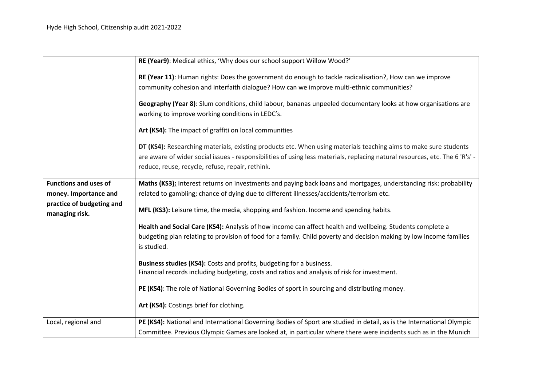|                                             | RE (Year9): Medical ethics, 'Why does our school support Willow Wood?'                                                                                                                                                                                                                               |
|---------------------------------------------|------------------------------------------------------------------------------------------------------------------------------------------------------------------------------------------------------------------------------------------------------------------------------------------------------|
|                                             | RE (Year 11): Human rights: Does the government do enough to tackle radicalisation?, How can we improve<br>community cohesion and interfaith dialogue? How can we improve multi-ethnic communities?                                                                                                  |
|                                             | Geography (Year 8): Slum conditions, child labour, bananas unpeeled documentary looks at how organisations are<br>working to improve working conditions in LEDC's.                                                                                                                                   |
|                                             | Art (KS4): The impact of graffiti on local communities                                                                                                                                                                                                                                               |
|                                             | DT (KS4): Researching materials, existing products etc. When using materials teaching aims to make sure students<br>are aware of wider social issues - responsibilities of using less materials, replacing natural resources, etc. The 6 'R's' -<br>reduce, reuse, recycle, refuse, repair, rethink. |
| <b>Functions and uses of</b>                | Maths (KS3): Interest returns on investments and paying back loans and mortgages, understanding risk: probability                                                                                                                                                                                    |
| money. Importance and                       | related to gambling; chance of dying due to different illnesses/accidents/terrorism etc.                                                                                                                                                                                                             |
| practice of budgeting and<br>managing risk. | MFL (KS3): Leisure time, the media, shopping and fashion. Income and spending habits.                                                                                                                                                                                                                |
|                                             | Health and Social Care (KS4): Analysis of how income can affect health and wellbeing. Students complete a                                                                                                                                                                                            |
|                                             | budgeting plan relating to provision of food for a family. Child poverty and decision making by low income families<br>is studied.                                                                                                                                                                   |
|                                             | Business studies (KS4): Costs and profits, budgeting for a business.                                                                                                                                                                                                                                 |
|                                             | Financial records including budgeting, costs and ratios and analysis of risk for investment.                                                                                                                                                                                                         |
|                                             | PE (KS4): The role of National Governing Bodies of sport in sourcing and distributing money.                                                                                                                                                                                                         |
|                                             | Art (KS4): Costings brief for clothing.                                                                                                                                                                                                                                                              |
| Local, regional and                         | PE (KS4): National and International Governing Bodies of Sport are studied in detail, as is the International Olympic                                                                                                                                                                                |
|                                             | Committee. Previous Olympic Games are looked at, in particular where there were incidents such as in the Munich                                                                                                                                                                                      |